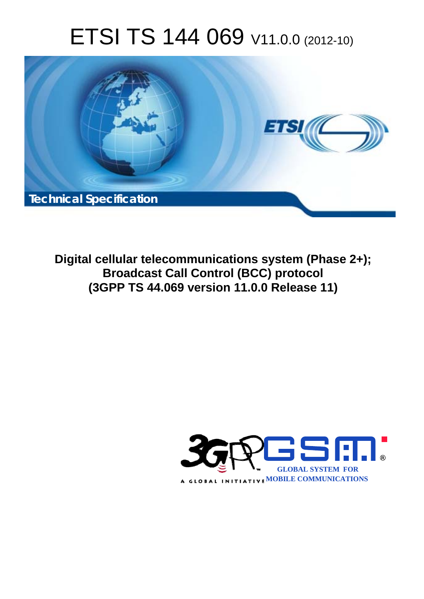# ETSI TS 144 069 V11.0.0 (2012-10)



**Digital cellular telecommunications system (Phase 2+); Broadcast Call Control (BCC) protocol (3GPP TS 44.069 version 11.0.0 Release 11)** 

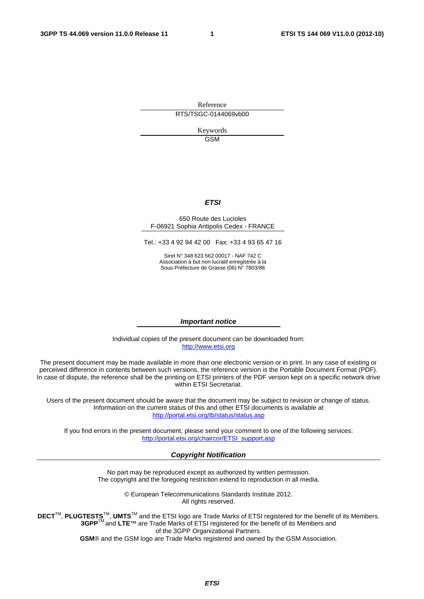Reference RTS/TSGC-0144069vb00

> Keywords GSM

#### *ETSI*

#### 650 Route des Lucioles F-06921 Sophia Antipolis Cedex - FRANCE

Tel.: +33 4 92 94 42 00 Fax: +33 4 93 65 47 16

Siret N° 348 623 562 00017 - NAF 742 C Association à but non lucratif enregistrée à la Sous-Préfecture de Grasse (06) N° 7803/88

#### *Important notice*

Individual copies of the present document can be downloaded from: [http://www.etsi.org](http://www.etsi.org/)

The present document may be made available in more than one electronic version or in print. In any case of existing or perceived difference in contents between such versions, the reference version is the Portable Document Format (PDF). In case of dispute, the reference shall be the printing on ETSI printers of the PDF version kept on a specific network drive within ETSI Secretariat.

Users of the present document should be aware that the document may be subject to revision or change of status. Information on the current status of this and other ETSI documents is available at <http://portal.etsi.org/tb/status/status.asp>

If you find errors in the present document, please send your comment to one of the following services: [http://portal.etsi.org/chaircor/ETSI\\_support.asp](http://portal.etsi.org/chaircor/ETSI_support.asp)

#### *Copyright Notification*

No part may be reproduced except as authorized by written permission. The copyright and the foregoing restriction extend to reproduction in all media.

> © European Telecommunications Standards Institute 2012. All rights reserved.

**DECT**TM, **PLUGTESTS**TM, **UMTS**TM and the ETSI logo are Trade Marks of ETSI registered for the benefit of its Members. **3GPP**TM and **LTE**™ are Trade Marks of ETSI registered for the benefit of its Members and of the 3GPP Organizational Partners.

**GSM**® and the GSM logo are Trade Marks registered and owned by the GSM Association.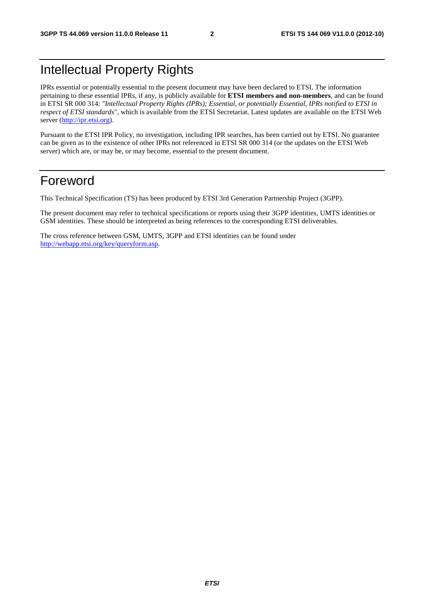## Intellectual Property Rights

IPRs essential or potentially essential to the present document may have been declared to ETSI. The information pertaining to these essential IPRs, if any, is publicly available for **ETSI members and non-members**, and can be found in ETSI SR 000 314: *"Intellectual Property Rights (IPRs); Essential, or potentially Essential, IPRs notified to ETSI in respect of ETSI standards"*, which is available from the ETSI Secretariat. Latest updates are available on the ETSI Web server [\(http://ipr.etsi.org](http://webapp.etsi.org/IPR/home.asp)).

Pursuant to the ETSI IPR Policy, no investigation, including IPR searches, has been carried out by ETSI. No guarantee can be given as to the existence of other IPRs not referenced in ETSI SR 000 314 (or the updates on the ETSI Web server) which are, or may be, or may become, essential to the present document.

## Foreword

This Technical Specification (TS) has been produced by ETSI 3rd Generation Partnership Project (3GPP).

The present document may refer to technical specifications or reports using their 3GPP identities, UMTS identities or GSM identities. These should be interpreted as being references to the corresponding ETSI deliverables.

The cross reference between GSM, UMTS, 3GPP and ETSI identities can be found under [http://webapp.etsi.org/key/queryform.asp.](http://webapp.etsi.org/key/queryform.asp)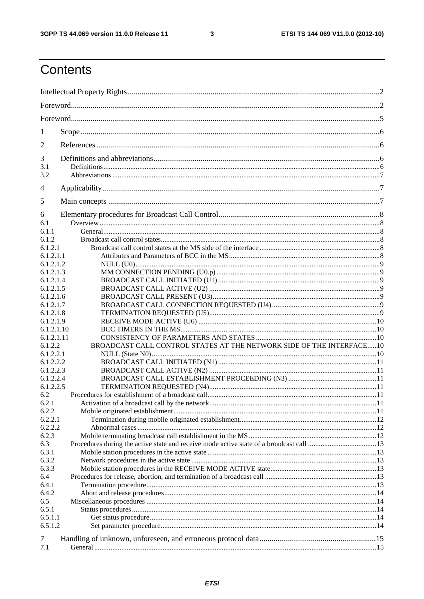$\mathbf{3}$ 

## Contents

| 1                      |                                                                       |  |  |
|------------------------|-----------------------------------------------------------------------|--|--|
| 2                      |                                                                       |  |  |
|                        |                                                                       |  |  |
| 3<br>3.1               |                                                                       |  |  |
| 3.2                    |                                                                       |  |  |
|                        |                                                                       |  |  |
| 4                      |                                                                       |  |  |
| 5                      |                                                                       |  |  |
| 6                      |                                                                       |  |  |
| 6.1                    |                                                                       |  |  |
| 6.1.1                  |                                                                       |  |  |
| 6.1.2                  |                                                                       |  |  |
| 6.1.2.1                |                                                                       |  |  |
| 6.1.2.1.1              |                                                                       |  |  |
| 6.1.2.1.2              |                                                                       |  |  |
| 6.1.2.1.3<br>6.1.2.1.4 |                                                                       |  |  |
| 6.1.2.1.5              |                                                                       |  |  |
| 6.1.2.1.6              |                                                                       |  |  |
| 6.1.2.1.7              |                                                                       |  |  |
| 6.1.2.1.8              |                                                                       |  |  |
| 6.1.2.1.9              |                                                                       |  |  |
| 6.1.2.1.10             |                                                                       |  |  |
| 6.1.2.1.11             |                                                                       |  |  |
| 6.1.2.2                | BROADCAST CALL CONTROL STATES AT THE NETWORK SIDE OF THE INTERFACE 10 |  |  |
| 6.1.2.2.1              |                                                                       |  |  |
| 6.1.2.2.2              |                                                                       |  |  |
| 6.1.2.2.3              |                                                                       |  |  |
| 6.1.2.2.4              |                                                                       |  |  |
| 6.1.2.2.5              |                                                                       |  |  |
| 6.2                    |                                                                       |  |  |
| 6.2.1                  |                                                                       |  |  |
| 6.2.2                  |                                                                       |  |  |
| 6.2.2.1                |                                                                       |  |  |
| 6.2.2.2                |                                                                       |  |  |
| 6.2.3                  |                                                                       |  |  |
| 6.3                    |                                                                       |  |  |
| 6.3.1<br>6.3.2         |                                                                       |  |  |
| 6.3.3                  |                                                                       |  |  |
| 6.4                    |                                                                       |  |  |
| 6.4.1                  |                                                                       |  |  |
| 6.4.2                  |                                                                       |  |  |
| 6.5                    |                                                                       |  |  |
| 6.5.1                  |                                                                       |  |  |
| 6.5.1.1                |                                                                       |  |  |
| 6.5.1.2                |                                                                       |  |  |
| 7                      |                                                                       |  |  |
| 7.1                    |                                                                       |  |  |
|                        |                                                                       |  |  |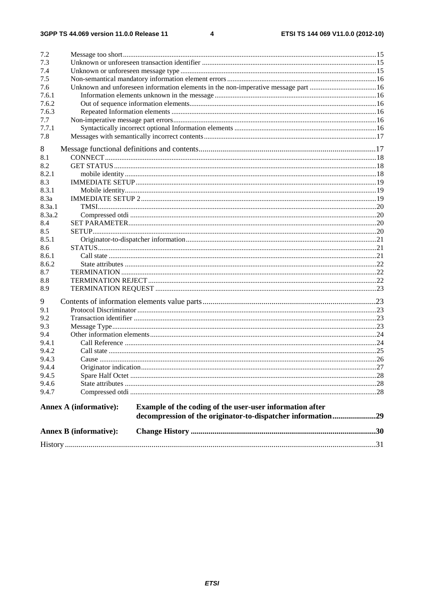#### $\overline{\mathbf{4}}$

| 7.2    |                               |                                                                                   |  |
|--------|-------------------------------|-----------------------------------------------------------------------------------|--|
| 7.3    |                               |                                                                                   |  |
| 7.4    |                               |                                                                                   |  |
| 7.5    |                               |                                                                                   |  |
| 7.6    |                               | Unknown and unforeseen information elements in the non-imperative message part 16 |  |
| 7.6.1  |                               |                                                                                   |  |
| 7.6.2  |                               |                                                                                   |  |
| 7.6.3  |                               |                                                                                   |  |
| 7.7    |                               |                                                                                   |  |
| 7.7.1  |                               |                                                                                   |  |
| 7.8    |                               |                                                                                   |  |
| 8      |                               |                                                                                   |  |
| 8.1    |                               |                                                                                   |  |
| 8.2    |                               |                                                                                   |  |
| 8.2.1  |                               |                                                                                   |  |
| 8.3    |                               |                                                                                   |  |
| 8.3.1  |                               |                                                                                   |  |
| 8.3a   |                               |                                                                                   |  |
| 8.3a.1 |                               |                                                                                   |  |
| 8.3a.2 |                               |                                                                                   |  |
| 8.4    |                               |                                                                                   |  |
| 8.5    |                               |                                                                                   |  |
| 8.5.1  |                               |                                                                                   |  |
| 8.6    |                               |                                                                                   |  |
| 8.6.1  |                               |                                                                                   |  |
| 8.6.2  |                               |                                                                                   |  |
| 8.7    |                               |                                                                                   |  |
| 8.8    |                               |                                                                                   |  |
| 8.9    |                               |                                                                                   |  |
| 9      |                               |                                                                                   |  |
| 9.1    |                               |                                                                                   |  |
| 9.2    |                               |                                                                                   |  |
| 9.3    |                               |                                                                                   |  |
| 9.4    |                               |                                                                                   |  |
| 9.4.1  |                               |                                                                                   |  |
| 9.4.2  |                               |                                                                                   |  |
| 9.4.3  |                               |                                                                                   |  |
| 9.4.4  |                               |                                                                                   |  |
| 9.4.5  |                               |                                                                                   |  |
| 9.4.6  |                               |                                                                                   |  |
| 9.4.7  |                               |                                                                                   |  |
|        | Annex A (informative):        | Example of the coding of the user-user information after                          |  |
|        |                               | decompression of the originator-to-dispatcher information29                       |  |
|        | <b>Annex B</b> (informative): |                                                                                   |  |
|        |                               |                                                                                   |  |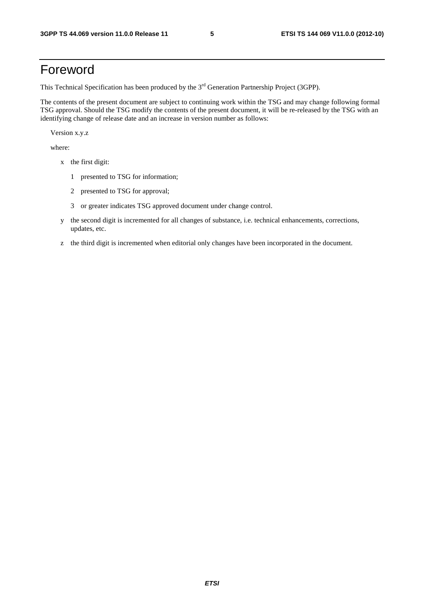## Foreword

This Technical Specification has been produced by the 3<sup>rd</sup> Generation Partnership Project (3GPP).

The contents of the present document are subject to continuing work within the TSG and may change following formal TSG approval. Should the TSG modify the contents of the present document, it will be re-released by the TSG with an identifying change of release date and an increase in version number as follows:

Version x.y.z

where:

- x the first digit:
	- 1 presented to TSG for information;
	- 2 presented to TSG for approval;
	- 3 or greater indicates TSG approved document under change control.
- y the second digit is incremented for all changes of substance, i.e. technical enhancements, corrections, updates, etc.
- z the third digit is incremented when editorial only changes have been incorporated in the document.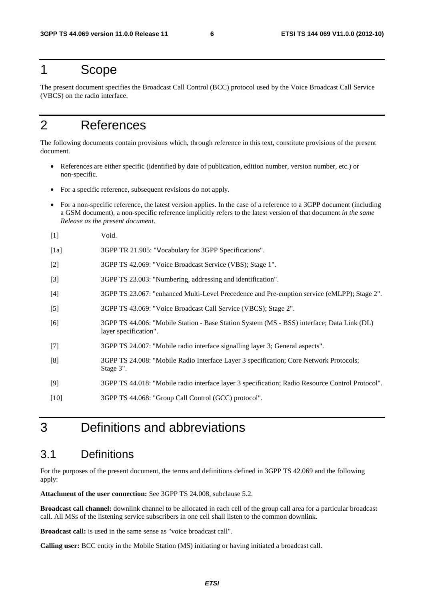## 1 Scope

The present document specifies the Broadcast Call Control (BCC) protocol used by the Voice Broadcast Call Service (VBCS) on the radio interface.

## 2 References

The following documents contain provisions which, through reference in this text, constitute provisions of the present document.

- References are either specific (identified by date of publication, edition number, version number, etc.) or non-specific.
- For a specific reference, subsequent revisions do not apply.
- For a non-specific reference, the latest version applies. In the case of a reference to a 3GPP document (including a GSM document), a non-specific reference implicitly refers to the latest version of that document *in the same Release as the present document*.
- [1] Void.
- [1a] 3GPP TR 21.905: "Vocabulary for 3GPP Specifications".
- [2] 3GPP TS 42.069: "Voice Broadcast Service (VBS); Stage 1".
- [3] 3GPP TS 23.003: "Numbering, addressing and identification".
- [4] 3GPP TS 23.067: "enhanced Multi-Level Precedence and Pre-emption service (eMLPP); Stage 2".
- [5] 3GPP TS 43.069: "Voice Broadcast Call Service (VBCS); Stage 2".
- [6] 3GPP TS 44.006: "Mobile Station Base Station System (MS BSS) interface; Data Link (DL) layer specification".
- [7] 3GPP TS 24.007: "Mobile radio interface signalling layer 3; General aspects".
- [8] 3GPP TS 24.008: "Mobile Radio Interface Layer 3 specification; Core Network Protocols; Stage 3".
- [9] 3GPP TS 44.018: "Mobile radio interface layer 3 specification; Radio Resource Control Protocol".
- [10] 3GPP TS 44.068: "Group Call Control (GCC) protocol".

## 3 Definitions and abbreviations

### 3.1 Definitions

For the purposes of the present document, the terms and definitions defined in 3GPP TS 42.069 and the following apply:

**Attachment of the user connection:** See 3GPP TS 24.008, subclause 5.2.

**Broadcast call channel:** downlink channel to be allocated in each cell of the group call area for a particular broadcast call. All MSs of the listening service subscribers in one cell shall listen to the common downlink.

**Broadcast call:** is used in the same sense as "voice broadcast call".

**Calling user:** BCC entity in the Mobile Station (MS) initiating or having initiated a broadcast call.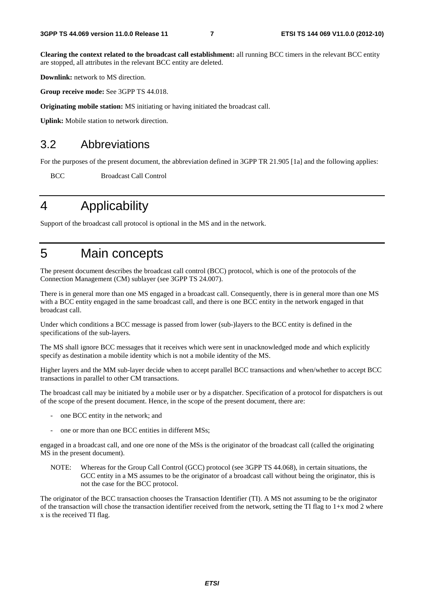**Clearing the context related to the broadcast call establishment:** all running BCC timers in the relevant BCC entity are stopped, all attributes in the relevant BCC entity are deleted.

**Downlink:** network to MS direction.

**Group receive mode:** See 3GPP TS 44.018.

**Originating mobile station:** MS initiating or having initiated the broadcast call.

**Uplink:** Mobile station to network direction.

### 3.2 Abbreviations

For the purposes of the present document, the abbreviation defined in 3GPP TR 21.905 [1a] and the following applies:

BCC Broadcast Call Control

## 4 Applicability

Support of the broadcast call protocol is optional in the MS and in the network.

## 5 Main concepts

The present document describes the broadcast call control (BCC) protocol, which is one of the protocols of the Connection Management (CM) sublayer (see 3GPP TS 24.007).

There is in general more than one MS engaged in a broadcast call. Consequently, there is in general more than one MS with a BCC entity engaged in the same broadcast call, and there is one BCC entity in the network engaged in that broadcast call.

Under which conditions a BCC message is passed from lower (sub-)layers to the BCC entity is defined in the specifications of the sub-layers.

The MS shall ignore BCC messages that it receives which were sent in unacknowledged mode and which explicitly specify as destination a mobile identity which is not a mobile identity of the MS.

Higher layers and the MM sub-layer decide when to accept parallel BCC transactions and when/whether to accept BCC transactions in parallel to other CM transactions.

The broadcast call may be initiated by a mobile user or by a dispatcher. Specification of a protocol for dispatchers is out of the scope of the present document. Hence, in the scope of the present document, there are:

- one BCC entity in the network; and
- one or more than one BCC entities in different MSs;

engaged in a broadcast call, and one ore none of the MSs is the originator of the broadcast call (called the originating MS in the present document).

NOTE: Whereas for the Group Call Control (GCC) protocol (see 3GPP TS 44.068), in certain situations, the GCC entity in a MS assumes to be the originator of a broadcast call without being the originator, this is not the case for the BCC protocol.

The originator of the BCC transaction chooses the Transaction Identifier (TI). A MS not assuming to be the originator of the transaction will chose the transaction identifier received from the network, setting the TI flag to  $1+x \mod 2$  where x is the received TI flag.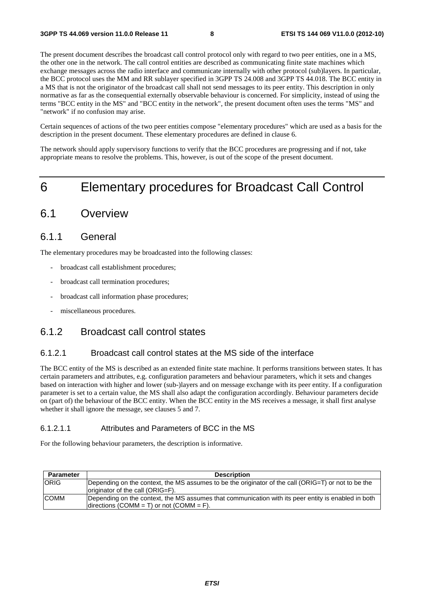The present document describes the broadcast call control protocol only with regard to two peer entities, one in a MS, the other one in the network. The call control entities are described as communicating finite state machines which exchange messages across the radio interface and communicate internally with other protocol (sub)layers. In particular, the BCC protocol uses the MM and RR sublayer specified in 3GPP TS 24.008 and 3GPP TS 44.018. The BCC entity in a MS that is not the originator of the broadcast call shall not send messages to its peer entity. This description in only normative as far as the consequential externally observable behaviour is concerned. For simplicity, instead of using the terms "BCC entity in the MS" and "BCC entity in the network", the present document often uses the terms "MS" and "network" if no confusion may arise.

Certain sequences of actions of the two peer entities compose "elementary procedures" which are used as a basis for the description in the present document. These elementary procedures are defined in clause 6.

The network should apply supervisory functions to verify that the BCC procedures are progressing and if not, take appropriate means to resolve the problems. This, however, is out of the scope of the present document.

## 6 Elementary procedures for Broadcast Call Control

### 6.1 Overview

### 6.1.1 General

The elementary procedures may be broadcasted into the following classes:

- broadcast call establishment procedures;
- broadcast call termination procedures;
- broadcast call information phase procedures;
- miscellaneous procedures.

### 6.1.2 Broadcast call control states

#### 6.1.2.1 Broadcast call control states at the MS side of the interface

The BCC entity of the MS is described as an extended finite state machine. It performs transitions between states. It has certain parameters and attributes, e.g. configuration parameters and behaviour parameters, which it sets and changes based on interaction with higher and lower (sub-)layers and on message exchange with its peer entity. If a configuration parameter is set to a certain value, the MS shall also adapt the configuration accordingly. Behaviour parameters decide on (part of) the behaviour of the BCC entity. When the BCC entity in the MS receives a message, it shall first analyse whether it shall ignore the message, see clauses 5 and 7.

#### 6.1.2.1.1 Attributes and Parameters of BCC in the MS

For the following behaviour parameters, the description is informative.

| <b>Parameter</b> | <b>Description</b>                                                                                                                              |
|------------------|-------------------------------------------------------------------------------------------------------------------------------------------------|
| <b>ORIG</b>      | Depending on the context, the MS assumes to be the originator of the call (ORIG=T) or not to be the<br>originator of the call (ORIG=F).         |
| <b>COMM</b>      | Depending on the context, the MS assumes that communication with its peer entity is enabled in both<br>directions (COMM = T) or not (COMM = F). |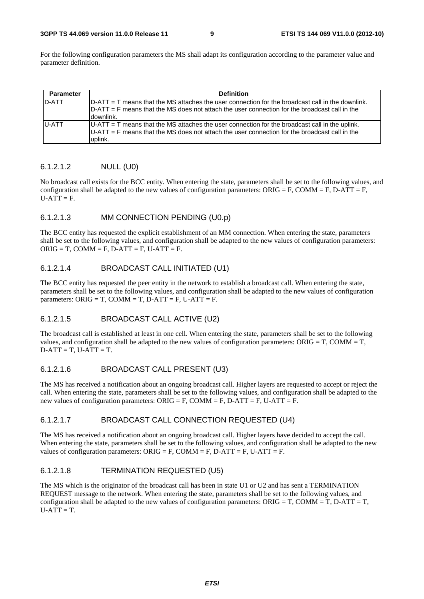#### **3GPP TS 44.069 version 11.0.0 Release 11 9 ETSI TS 144 069 V11.0.0 (2012-10)**

For the following configuration parameters the MS shall adapt its configuration according to the parameter value and parameter definition.

| <b>Parameter</b> | <b>Definition</b>                                                                                                                                                                                                   |
|------------------|---------------------------------------------------------------------------------------------------------------------------------------------------------------------------------------------------------------------|
| D-ATT            | $D-ATT = T$ means that the MS attaches the user connection for the broadcast call in the downlink.<br>$D-ATT = F$ means that the MS does not attach the user connection for the broadcast call in the<br>ldownlink. |
| <b>U-ATT</b>     | $U-ATT = T$ means that the MS attaches the user connection for the broadcast call in the uplink.<br>$U-ATT = F$ means that the MS does not attach the user connection for the broadcast call in the<br>uplink.      |

#### 6.1.2.1.2 NULL (U0)

No broadcast call exists for the BCC entity. When entering the state, parameters shall be set to the following values, and configuration shall be adapted to the new values of configuration parameters: ORIG = F, COMM = F, D-ATT = F,  $U-ATT = F.$ 

#### 6.1.2.1.3 MM CONNECTION PENDING (U0.p)

The BCC entity has requested the explicit establishment of an MM connection. When entering the state, parameters shall be set to the following values, and configuration shall be adapted to the new values of configuration parameters:  $ORIG = T$ ,  $COMM = F$ ,  $D-ATT = F$ ,  $U-ATT = F$ .

#### 6.1.2.1.4 BROADCAST CALL INITIATED (U1)

The BCC entity has requested the peer entity in the network to establish a broadcast call. When entering the state, parameters shall be set to the following values, and configuration shall be adapted to the new values of configuration parameters: ORIG = T, COMM = T, D-ATT = F, U-ATT = F.

#### 6.1.2.1.5 BROADCAST CALL ACTIVE (U2)

The broadcast call is established at least in one cell. When entering the state, parameters shall be set to the following values, and configuration shall be adapted to the new values of configuration parameters:  $ORIG = T$ ,  $COMM = T$ ,  $D-ATT = T$ ,  $U-ATT = T$ .

#### 6.1.2.1.6 BROADCAST CALL PRESENT (U3)

The MS has received a notification about an ongoing broadcast call. Higher layers are requested to accept or reject the call. When entering the state, parameters shall be set to the following values, and configuration shall be adapted to the new values of configuration parameters:  $ORIG = F$ ,  $COMM = F$ ,  $D-ATT = F$ ,  $U-ATT = F$ .

#### 6.1.2.1.7 BROADCAST CALL CONNECTION REQUESTED (U4)

The MS has received a notification about an ongoing broadcast call. Higher layers have decided to accept the call. When entering the state, parameters shall be set to the following values, and configuration shall be adapted to the new values of configuration parameters:  $ORIG = F$ ,  $COMM = F$ ,  $D-ATT = F$ ,  $U-ATT = F$ .

#### 6.1.2.1.8 TERMINATION REQUESTED (U5)

The MS which is the originator of the broadcast call has been in state U1 or U2 and has sent a TERMINATION REQUEST message to the network. When entering the state, parameters shall be set to the following values, and configuration shall be adapted to the new values of configuration parameters:  $ORIG = T$ ,  $COMM = T$ ,  $D-ATT = T$ ,  $U-ATT = T.$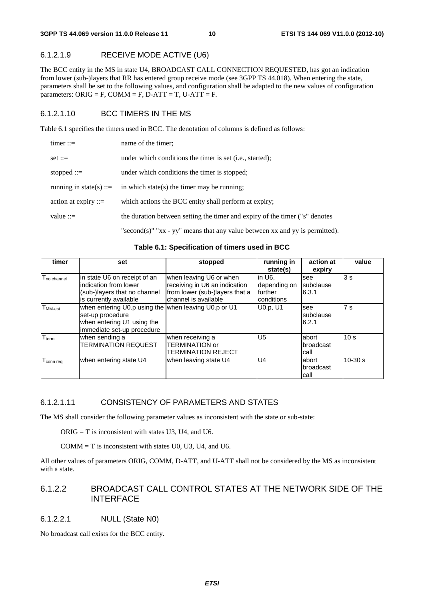### 6.1.2.1.9 RECEIVE MODE ACTIVE (U6)

The BCC entity in the MS in state U4, BROADCAST CALL CONNECTION REQUESTED, has got an indication from lower (sub-)layers that RR has entered group receive mode (see 3GPP TS 44.018). When entering the state, parameters shall be set to the following values, and configuration shall be adapted to the new values of configuration parameters: ORIG = F, COMM = F, D-ATT = T, U-ATT = F.

#### 6.1.2.1.10 BCC TIMERS IN THE MS

Table 6.1 specifies the timers used in BCC. The denotation of columns is defined as follows:

| $timer ::=$             | name of the timer;                                                                  |
|-------------------------|-------------------------------------------------------------------------------------|
| $set ::=$               | under which conditions the timer is set ( <i>i.e.</i> , started);                   |
| stopped $::=$           | under which conditions the timer is stopped;                                        |
| running in state(s) ::= | in which state(s) the timer may be running;                                         |
| action at expiry $ ::=$ | which actions the BCC entity shall perform at expiry;                               |
| value $ ::=$            | the duration between setting the timer and expiry of the timer ("s" denotes         |
|                         | "second(s)" " $xx - yy$ " means that any value between $xx$ and $yy$ is permitted). |

**Table 6.1: Specification of timers used in BCC** 

| timer                         | set                                                                                                                                  | stopped                                                                                                            | running in<br>state(s)                           | action at<br>expiry              | value           |
|-------------------------------|--------------------------------------------------------------------------------------------------------------------------------------|--------------------------------------------------------------------------------------------------------------------|--------------------------------------------------|----------------------------------|-----------------|
| T <sub>no channel</sub>       | in state U6 on receipt of an<br>indication from lower<br>(sub-)layers that no channel<br>is currently available                      | when leaving U6 or when<br>receiving in U6 an indication<br>from lower (sub-)layers that a<br>channel is available | in U6.<br>depending on<br>further<br>Iconditions | <b>see</b><br>subclause<br>6.3.1 | 3s              |
| ${\sf T}_{\sf MM\text{-}est}$ | when entering U0.p using the when leaving U0.p or U1<br>set-up procedure<br>when entering U1 using the<br>immediate set-up procedure |                                                                                                                    | U0.p, U1                                         | see<br>subclause<br>6.2.1        | 7 <sub>s</sub>  |
| $T_{term}$                    | when sending a<br><b>TERMINATION REQUEST</b>                                                                                         | when receiving a<br><b>TERMINATION or</b><br>TERMINATION REJECT                                                    | U <sub>5</sub>                                   | labort<br>broadcast<br>call      | 10 <sub>s</sub> |
| T <sub>connreq</sub>          | when entering state U4                                                                                                               | when leaving state U4                                                                                              | U4                                               | labort<br>broadcast<br>call      | $10-30 s$       |

#### 6.1.2.1.11 CONSISTENCY OF PARAMETERS AND STATES

The MS shall consider the following parameter values as inconsistent with the state or sub-state:

 $ORIG = T$  is inconsistent with states U3, U4, and U6.

 $COMM = T$  is inconsistent with states U0, U3, U4, and U6.

All other values of parameters ORIG, COMM, D-ATT, and U-ATT shall not be considered by the MS as inconsistent with a state.

#### 6.1.2.2 BROADCAST CALL CONTROL STATES AT THE NETWORK SIDE OF THE INTERFACE

#### 6.1.2.2.1 NULL (State N0)

No broadcast call exists for the BCC entity.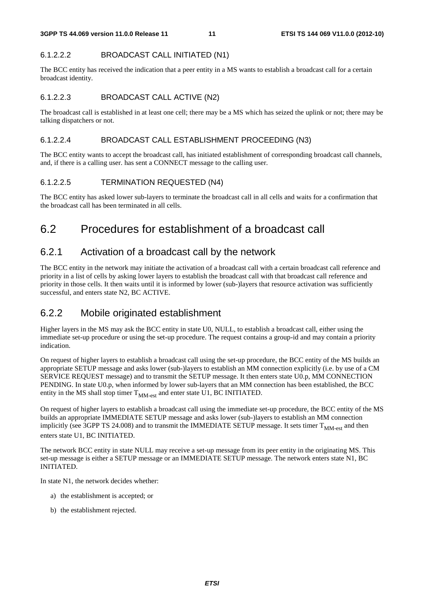### 6.1.2.2.2 BROADCAST CALL INITIATED (N1)

The BCC entity has received the indication that a peer entity in a MS wants to establish a broadcast call for a certain broadcast identity.

### 6.1.2.2.3 BROADCAST CALL ACTIVE (N2)

The broadcast call is established in at least one cell; there may be a MS which has seized the uplink or not; there may be talking dispatchers or not.

### 6.1.2.2.4 BROADCAST CALL ESTABLISHMENT PROCEEDING (N3)

The BCC entity wants to accept the broadcast call, has initiated establishment of corresponding broadcast call channels, and, if there is a calling user. has sent a CONNECT message to the calling user.

### 6.1.2.2.5 TERMINATION REQUESTED (N4)

The BCC entity has asked lower sub-layers to terminate the broadcast call in all cells and waits for a confirmation that the broadcast call has been terminated in all cells.

## 6.2 Procedures for establishment of a broadcast call

## 6.2.1 Activation of a broadcast call by the network

The BCC entity in the network may initiate the activation of a broadcast call with a certain broadcast call reference and priority in a list of cells by asking lower layers to establish the broadcast call with that broadcast call reference and priority in those cells. It then waits until it is informed by lower (sub-)layers that resource activation was sufficiently successful, and enters state N2, BC ACTIVE.

### 6.2.2 Mobile originated establishment

Higher layers in the MS may ask the BCC entity in state U0, NULL, to establish a broadcast call, either using the immediate set-up procedure or using the set-up procedure. The request contains a group-id and may contain a priority indication.

On request of higher layers to establish a broadcast call using the set-up procedure, the BCC entity of the MS builds an appropriate SETUP message and asks lower (sub-)layers to establish an MM connection explicitly (i.e. by use of a CM SERVICE REQUEST message) and to transmit the SETUP message. It then enters state U0.p, MM CONNECTION PENDING. In state U0.p, when informed by lower sub-layers that an MM connection has been established, the BCC entity in the MS shall stop timer  $T_{MM-est}$  and enter state U1, BC INITIATED.

On request of higher layers to establish a broadcast call using the immediate set-up procedure, the BCC entity of the MS builds an appropriate IMMEDIATE SETUP message and asks lower (sub-)layers to establish an MM connection implicitly (see 3GPP TS 24.008) and to transmit the IMMEDIATE SETUP message. It sets timer  $T<sub>MM-est</sub>$  and then enters state U1, BC INITIATED.

The network BCC entity in state NULL may receive a set-up message from its peer entity in the originating MS. This set-up message is either a SETUP message or an IMMEDIATE SETUP message. The network enters state N1, BC INITIATED.

In state N1, the network decides whether:

- a) the establishment is accepted; or
- b) the establishment rejected.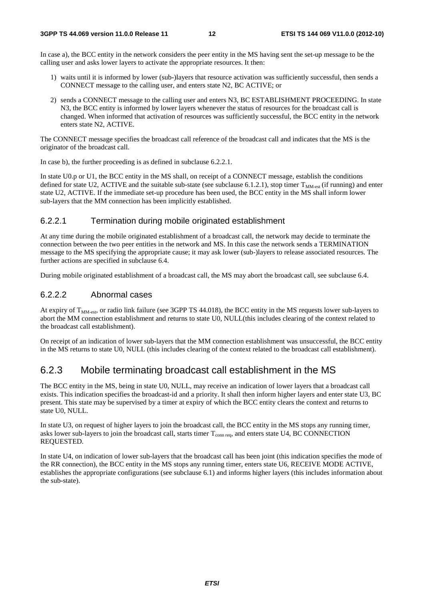In case a), the BCC entity in the network considers the peer entity in the MS having sent the set-up message to be the calling user and asks lower layers to activate the appropriate resources. It then:

- 1) waits until it is informed by lower (sub-)layers that resource activation was sufficiently successful, then sends a CONNECT message to the calling user, and enters state N2, BC ACTIVE; or
- 2) sends a CONNECT message to the calling user and enters N3, BC ESTABLISHMENT PROCEEDING. In state N3, the BCC entity is informed by lower layers whenever the status of resources for the broadcast call is changed. When informed that activation of resources was sufficiently successful, the BCC entity in the network enters state N2, ACTIVE.

The CONNECT message specifies the broadcast call reference of the broadcast call and indicates that the MS is the originator of the broadcast call.

In case b), the further proceeding is as defined in subclause 6.2.2.1.

In state U0.p or U1, the BCC entity in the MS shall, on receipt of a CONNECT message, establish the conditions defined for state U2, ACTIVE and the suitable sub-state (see subclause 6.1.2.1), stop timer  $T_{\text{MM-est}}$  (if running) and enter state U2, ACTIVE. If the immediate set-up procedure has been used, the BCC entity in the MS shall inform lower sub-layers that the MM connection has been implicitly established.

#### 6.2.2.1 Termination during mobile originated establishment

At any time during the mobile originated establishment of a broadcast call, the network may decide to terminate the connection between the two peer entities in the network and MS. In this case the network sends a TERMINATION message to the MS specifying the appropriate cause; it may ask lower (sub-)layers to release associated resources. The further actions are specified in subclause 6.4.

During mobile originated establishment of a broadcast call, the MS may abort the broadcast call, see subclause 6.4.

#### 6.2.2.2 Abnormal cases

At expiry of  $T<sub>MM-est</sub>$ , or radio link failure (see 3GPP TS 44.018), the BCC entity in the MS requests lower sub-layers to abort the MM connection establishment and returns to state U0, NULL(this includes clearing of the context related to the broadcast call establishment).

On receipt of an indication of lower sub-layers that the MM connection establishment was unsuccessful, the BCC entity in the MS returns to state U0, NULL (this includes clearing of the context related to the broadcast call establishment).

### 6.2.3 Mobile terminating broadcast call establishment in the MS

The BCC entity in the MS, being in state U0, NULL, may receive an indication of lower layers that a broadcast call exists. This indication specifies the broadcast-id and a priority. It shall then inform higher layers and enter state U3, BC present. This state may be supervised by a timer at expiry of which the BCC entity clears the context and returns to state U0, NULL.

In state U3, on request of higher layers to join the broadcast call, the BCC entity in the MS stops any running timer, asks lower sub-layers to join the broadcast call, starts timer  $T_{\text{conn real}}$ , and enters state U4, BC CONNECTION REQUESTED.

In state U4, on indication of lower sub-layers that the broadcast call has been joint (this indication specifies the mode of the RR connection), the BCC entity in the MS stops any running timer, enters state U6, RECEIVE MODE ACTIVE, establishes the appropriate configurations (see subclause 6.1) and informs higher layers (this includes information about the sub-state).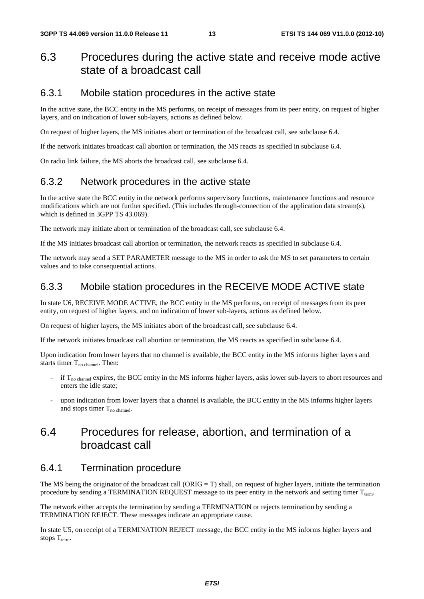### 6.3 Procedures during the active state and receive mode active state of a broadcast call

### 6.3.1 Mobile station procedures in the active state

In the active state, the BCC entity in the MS performs, on receipt of messages from its peer entity, on request of higher layers, and on indication of lower sub-layers, actions as defined below.

On request of higher layers, the MS initiates abort or termination of the broadcast call, see subclause 6.4.

If the network initiates broadcast call abortion or termination, the MS reacts as specified in subclause 6.4.

On radio link failure, the MS aborts the broadcast call, see subclause 6.4.

### 6.3.2 Network procedures in the active state

In the active state the BCC entity in the network performs supervisory functions, maintenance functions and resource modifications which are not further specified. (This includes through-connection of the application data stream(s), which is defined in 3GPP TS 43.069).

The network may initiate abort or termination of the broadcast call, see subclause 6.4.

If the MS initiates broadcast call abortion or termination, the network reacts as specified in subclause 6.4.

The network may send a SET PARAMETER message to the MS in order to ask the MS to set parameters to certain values and to take consequential actions.

### 6.3.3 Mobile station procedures in the RECEIVE MODE ACTIVE state

In state U6, RECEIVE MODE ACTIVE, the BCC entity in the MS performs, on receipt of messages from its peer entity, on request of higher layers, and on indication of lower sub-layers, actions as defined below.

On request of higher layers, the MS initiates abort of the broadcast call, see subclause 6.4.

If the network initiates broadcast call abortion or termination, the MS reacts as specified in subclause 6.4.

Upon indication from lower layers that no channel is available, the BCC entity in the MS informs higher layers and starts timer  $T_{\text{no channel}}$ . Then:

- if  $T_{no\text{ channel}}$  expires, the BCC entity in the MS informs higher layers, asks lower sub-layers to abort resources and enters the idle state;
- upon indication from lower layers that a channel is available, the BCC entity in the MS informs higher layers and stops timer  $T_{\text{no channel}}$ .

### 6.4 Procedures for release, abortion, and termination of a broadcast call

#### 6.4.1 Termination procedure

The MS being the originator of the broadcast call (ORIG = T) shall, on request of higher layers, initiate the termination procedure by sending a TERMINATION REQUEST message to its peer entity in the network and setting timer T<sub>term</sub>.

The network either accepts the termination by sending a TERMINATION or rejects termination by sending a TERMINATION REJECT. These messages indicate an appropriate cause.

In state U5, on receipt of a TERMINATION REJECT message, the BCC entity in the MS informs higher layers and stops  $T_{term}$ .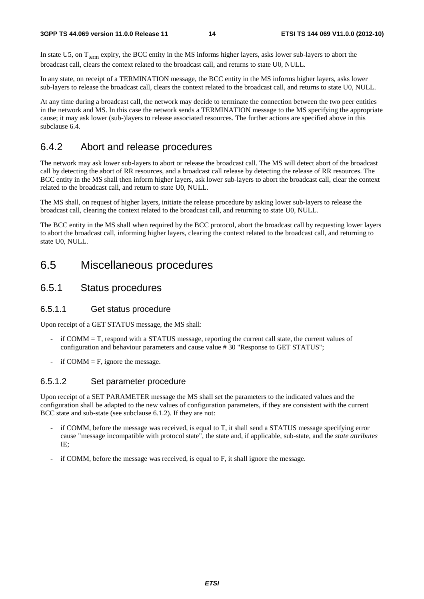In state U5, on  $T_{term}$  expiry, the BCC entity in the MS informs higher layers, asks lower sub-layers to abort the broadcast call, clears the context related to the broadcast call, and returns to state U0, NULL.

In any state, on receipt of a TERMINATION message, the BCC entity in the MS informs higher layers, asks lower sub-layers to release the broadcast call, clears the context related to the broadcast call, and returns to state U0, NULL.

At any time during a broadcast call, the network may decide to terminate the connection between the two peer entities in the network and MS. In this case the network sends a TERMINATION message to the MS specifying the appropriate cause; it may ask lower (sub-)layers to release associated resources. The further actions are specified above in this subclause 6.4.

### 6.4.2 Abort and release procedures

The network may ask lower sub-layers to abort or release the broadcast call. The MS will detect abort of the broadcast call by detecting the abort of RR resources, and a broadcast call release by detecting the release of RR resources. The BCC entity in the MS shall then inform higher layers, ask lower sub-layers to abort the broadcast call, clear the context related to the broadcast call, and return to state U0, NULL.

The MS shall, on request of higher layers, initiate the release procedure by asking lower sub-layers to release the broadcast call, clearing the context related to the broadcast call, and returning to state U0, NULL.

The BCC entity in the MS shall when required by the BCC protocol, abort the broadcast call by requesting lower layers to abort the broadcast call, informing higher layers, clearing the context related to the broadcast call, and returning to state U0, NULL.

### 6.5 Miscellaneous procedures

### 6.5.1 Status procedures

#### 6.5.1.1 Get status procedure

Upon receipt of a GET STATUS message, the MS shall:

- $\text{if } \text{COMM} = \text{T}$ , respond with a STATUS message, reporting the current call state, the current values of configuration and behaviour parameters and cause value # 30 "Response to GET STATUS";
- if COMM  $=$  F, ignore the message.

#### 6.5.1.2 Set parameter procedure

Upon receipt of a SET PARAMETER message the MS shall set the parameters to the indicated values and the configuration shall be adapted to the new values of configuration parameters, if they are consistent with the current BCC state and sub-state (see subclause 6.1.2). If they are not:

- if COMM, before the message was received, is equal to T, it shall send a STATUS message specifying error cause "message incompatible with protocol state", the state and, if applicable, sub-state, and the *state attributes* IE;
- if COMM, before the message was received, is equal to F, it shall ignore the message.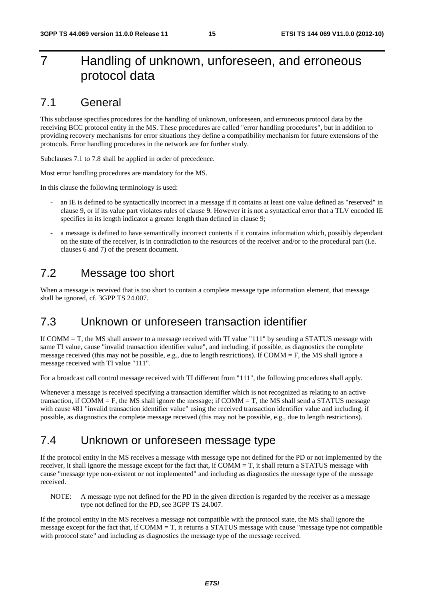## 7 Handling of unknown, unforeseen, and erroneous protocol data

### 7.1 General

This subclause specifies procedures for the handling of unknown, unforeseen, and erroneous protocol data by the receiving BCC protocol entity in the MS. These procedures are called "error handling procedures", but in addition to providing recovery mechanisms for error situations they define a compatibility mechanism for future extensions of the protocols. Error handling procedures in the network are for further study.

Subclauses 7.1 to 7.8 shall be applied in order of precedence.

Most error handling procedures are mandatory for the MS.

In this clause the following terminology is used:

- an IE is defined to be syntactically incorrect in a message if it contains at least one value defined as "reserved" in clause 9, or if its value part violates rules of clause 9. However it is not a syntactical error that a TLV encoded IE specifies in its length indicator a greater length than defined in clause 9;
- a message is defined to have semantically incorrect contents if it contains information which, possibly dependant on the state of the receiver, is in contradiction to the resources of the receiver and/or to the procedural part (i.e. clauses 6 and 7) of the present document.

### 7.2 Message too short

When a message is received that is too short to contain a complete message type information element, that message shall be ignored, cf. 3GPP TS 24.007.

### 7.3 Unknown or unforeseen transaction identifier

If COMM = T, the MS shall answer to a message received with TI value "111" by sending a STATUS message with same TI value, cause "invalid transaction identifier value", and including, if possible, as diagnostics the complete message received (this may not be possible, e.g., due to length restrictions). If COMM  $=$  F, the MS shall ignore a message received with TI value "111".

For a broadcast call control message received with TI different from "111", the following procedures shall apply.

Whenever a message is received specifying a transaction identifier which is not recognized as relating to an active transaction, if  $COMM = F$ , the MS shall ignore the message; if  $COMM = T$ , the MS shall send a STATUS message with cause #81 "invalid transaction identifier value" using the received transaction identifier value and including, if possible, as diagnostics the complete message received (this may not be possible, e.g., due to length restrictions).

### 7.4 Unknown or unforeseen message type

If the protocol entity in the MS receives a message with message type not defined for the PD or not implemented by the receiver, it shall ignore the message except for the fact that, if  $COMM = T$ , it shall return a STATUS message with cause "message type non-existent or not implemented" and including as diagnostics the message type of the message received.

NOTE: A message type not defined for the PD in the given direction is regarded by the receiver as a message type not defined for the PD, see 3GPP TS 24.007.

If the protocol entity in the MS receives a message not compatible with the protocol state, the MS shall ignore the message except for the fact that, if  $COMM = T$ , it returns a STATUS message with cause "message type not compatible with protocol state" and including as diagnostics the message type of the message received.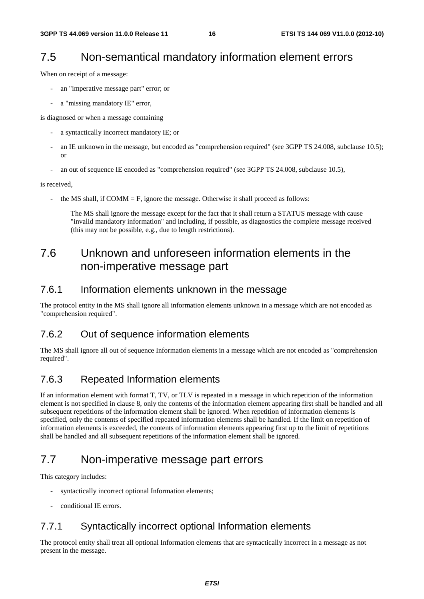## 7.5 Non-semantical mandatory information element errors

When on receipt of a message:

- an "imperative message part" error; or
- a "missing mandatory IE" error,

is diagnosed or when a message containing

- a syntactically incorrect mandatory IE; or
- an IE unknown in the message, but encoded as "comprehension required" (see 3GPP TS 24.008, subclause 10.5); or
- an out of sequence IE encoded as "comprehension required" (see 3GPP TS 24.008, subclause 10.5),

is received,

the MS shall, if  $COMM = F$ , ignore the message. Otherwise it shall proceed as follows:

 The MS shall ignore the message except for the fact that it shall return a STATUS message with cause "invalid mandatory information" and including, if possible, as diagnostics the complete message received (this may not be possible, e.g., due to length restrictions).

## 7.6 Unknown and unforeseen information elements in the non-imperative message part

### 7.6.1 Information elements unknown in the message

The protocol entity in the MS shall ignore all information elements unknown in a message which are not encoded as "comprehension required".

### 7.6.2 Out of sequence information elements

The MS shall ignore all out of sequence Information elements in a message which are not encoded as "comprehension required".

### 7.6.3 Repeated Information elements

If an information element with format T, TV, or TLV is repeated in a message in which repetition of the information element is not specified in clause 8, only the contents of the information element appearing first shall be handled and all subsequent repetitions of the information element shall be ignored. When repetition of information elements is specified, only the contents of specified repeated information elements shall be handled. If the limit on repetition of information elements is exceeded, the contents of information elements appearing first up to the limit of repetitions shall be handled and all subsequent repetitions of the information element shall be ignored.

## 7.7 Non-imperative message part errors

This category includes:

- syntactically incorrect optional Information elements;
- conditional IE errors.

### 7.7.1 Syntactically incorrect optional Information elements

The protocol entity shall treat all optional Information elements that are syntactically incorrect in a message as not present in the message.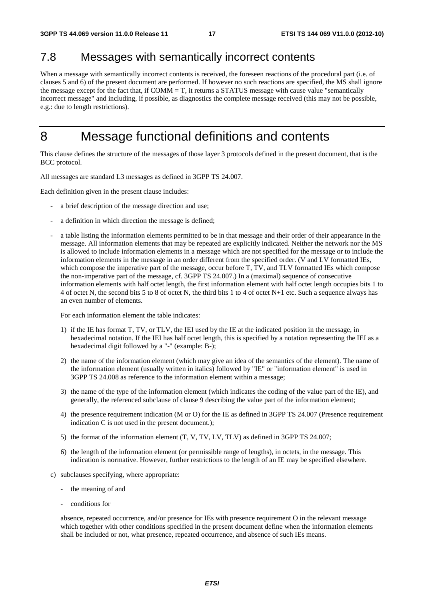## 7.8 Messages with semantically incorrect contents

When a message with semantically incorrect contents is received, the foreseen reactions of the procedural part (i.e. of clauses 5 and 6) of the present document are performed. If however no such reactions are specified, the MS shall ignore the message except for the fact that, if COMM = T, it returns a STATUS message with cause value "semantically incorrect message" and including, if possible, as diagnostics the complete message received (this may not be possible, e.g.: due to length restrictions).

## 8 Message functional definitions and contents

This clause defines the structure of the messages of those layer 3 protocols defined in the present document, that is the BCC protocol.

All messages are standard L3 messages as defined in 3GPP TS 24.007.

Each definition given in the present clause includes:

- a brief description of the message direction and use;
- a definition in which direction the message is defined;
- a table listing the information elements permitted to be in that message and their order of their appearance in the message. All information elements that may be repeated are explicitly indicated. Neither the network nor the MS is allowed to include information elements in a message which are not specified for the message or to include the information elements in the message in an order different from the specified order. (V and LV formatted IEs, which compose the imperative part of the message, occur before T, TV, and TLV formatted IEs which compose the non-imperative part of the message, cf. 3GPP TS 24.007.) In a (maximal) sequence of consecutive information elements with half octet length, the first information element with half octet length occupies bits 1 to 4 of octet N, the second bits 5 to 8 of octet N, the third bits 1 to 4 of octet N+1 etc. Such a sequence always has an even number of elements.

For each information element the table indicates:

- 1) if the IE has format T, TV, or TLV, the IEI used by the IE at the indicated position in the message, in hexadecimal notation. If the IEI has half octet length, this is specified by a notation representing the IEI as a hexadecimal digit followed by a "-" (example: B-);
- 2) the name of the information element (which may give an idea of the semantics of the element). The name of the information element (usually written in italics) followed by "IE" or "information element" is used in 3GPP TS 24.008 as reference to the information element within a message;
- 3) the name of the type of the information element (which indicates the coding of the value part of the IE), and generally, the referenced subclause of clause 9 describing the value part of the information element;
- 4) the presence requirement indication (M or O) for the IE as defined in 3GPP TS 24.007 (Presence requirement indication C is not used in the present document.);
- 5) the format of the information element (T, V, TV, LV, TLV) as defined in 3GPP TS 24.007;
- 6) the length of the information element (or permissible range of lengths), in octets, in the message. This indication is normative. However, further restrictions to the length of an IE may be specified elsewhere.
- c) subclauses specifying, where appropriate:
	- the meaning of and
	- conditions for

 absence, repeated occurrence, and/or presence for IEs with presence requirement O in the relevant message which together with other conditions specified in the present document define when the information elements shall be included or not, what presence, repeated occurrence, and absence of such IEs means.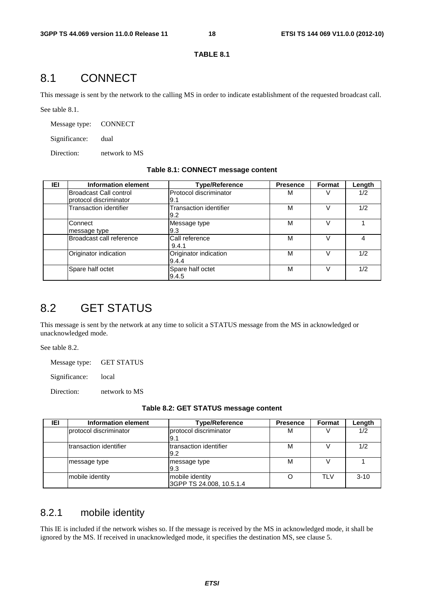#### **TABLE 8.1**

## 8.1 CONNECT

This message is sent by the network to the calling MS in order to indicate establishment of the requested broadcast call.

See table 8.1.

Message type: CONNECT

Significance: dual

Direction: network to MS

#### **Table 8.1: CONNECT message content**

| IEI | Information element                              | <b>Type/Reference</b>                | <b>Presence</b> | Format | Length |
|-----|--------------------------------------------------|--------------------------------------|-----------------|--------|--------|
|     | Broadcast Call control<br>protocol discriminator | Protocol discriminator<br>9.1        | М               |        | 1/2    |
|     | <b>Transaction identifier</b>                    | <b>Transaction identifier</b><br>9.2 | M               |        | 1/2    |
|     | Connect<br>message type                          | Message type<br>9.3                  | M               |        |        |
|     | Broadcast call reference                         | Call reference<br>9.4.1              | М               |        | 4      |
|     | Originator indication                            | Originator indication<br>9.4.4       | М               |        | 1/2    |
|     | Spare half octet                                 | Spare half octet<br>9.4.5            | М               |        | 1/2    |

## 8.2 GET STATUS

This message is sent by the network at any time to solicit a STATUS message from the MS in acknowledged or unacknowledged mode.

See table 8.2.

Message type: GET STATUS

Significance: local

Direction: network to MS

| IEI | Information element     | <b>Type/Reference</b>                       | <b>Presence</b> | Format     | Length   |
|-----|-------------------------|---------------------------------------------|-----------------|------------|----------|
|     | protocol discriminator  | protocol discriminator<br>I9.1              | M               |            | 1/2      |
|     | Itransaction identifier | Itransaction identifier<br>9.2              | М               |            | 1/2      |
|     | message type            | message type<br>9.3                         | М               |            |          |
|     | mobile identity         | mobile identity<br>3GPP TS 24.008, 10.5.1.4 |                 | <b>TLV</b> | $3 - 10$ |

### 8.2.1 mobile identity

This IE is included if the network wishes so. If the message is received by the MS in acknowledged mode, it shall be ignored by the MS. If received in unacknowledged mode, it specifies the destination MS, see clause 5.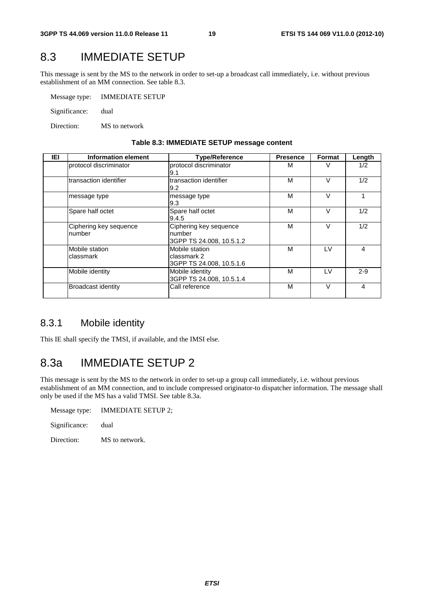## 8.3 IMMEDIATE SETUP

This message is sent by the MS to the network in order to set-up a broadcast call immediately, i.e. without previous establishment of an MM connection. See table 8.3.

| Message type: | <b>IMMEDIATE SETUP</b> |
|---------------|------------------------|
| Significance: | dual                   |

Direction: MS to network

| IEI | Information element              | <b>Type/Reference</b>                                        | <b>Presence</b> | Format | Length  |
|-----|----------------------------------|--------------------------------------------------------------|-----------------|--------|---------|
|     | protocol discriminator           | protocol discriminator<br>9.1                                | м               |        | 1/2     |
|     | Itransaction identifier          | transaction identifier<br>9.2                                | М               |        | 1/2     |
|     | message type                     | message type<br>9.3                                          | М               | $\vee$ |         |
|     | Spare half octet                 | Spare half octet<br>9.4.5                                    | M               |        | 1/2     |
|     | Ciphering key sequence<br>number | Ciphering key sequence<br>number<br>3GPP TS 24.008, 10.5.1.2 | M               | v      | 1/2     |
|     | Mobile station<br>classmark      | Mobile station<br>classmark 2<br>3GPP TS 24.008, 10.5.1.6    | М               | LV     | 4       |
|     | Mobile identity                  | Mobile identity<br>3GPP TS 24.008, 10.5.1.4                  | M               | LV     | $2 - 9$ |
|     | <b>Broadcast identity</b>        | Call reference                                               | M               | $\vee$ | 4       |

#### **Table 8.3: IMMEDIATE SETUP message content**

### 8.3.1 Mobile identity

This IE shall specify the TMSI, if available, and the IMSI else.

## 8.3a IMMEDIATE SETUP 2

This message is sent by the MS to the network in order to set-up a group call immediately, i.e. without previous establishment of an MM connection, and to include compressed originator-to dispatcher information. The message shall only be used if the MS has a valid TMSI. See table 8.3a.

| Message type: | IMMEDIATE SETUP 2: |
|---------------|--------------------|
| Significance: | dual               |
| Direction:    | MS to network.     |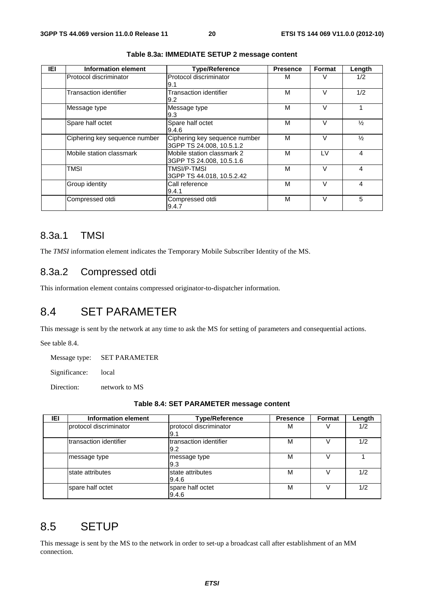| IEI | Information element           | <b>Type/Reference</b>                                     | <b>Presence</b> | Format        | Length         |
|-----|-------------------------------|-----------------------------------------------------------|-----------------|---------------|----------------|
|     | Protocol discriminator        | Protocol discriminator<br>9.1                             | м               | V             | 1/2            |
|     | Transaction identifier        | Transaction identifier<br>9.2                             | М               | $\vee$        | 1/2            |
|     | Message type                  | Message type<br>9.3                                       | М               | v             |                |
|     | Spare half octet              | Spare half octet<br>9.4.6                                 | М               | V             | $\frac{1}{2}$  |
|     | Ciphering key sequence number | Ciphering key sequence number<br>3GPP TS 24.008, 10.5.1.2 | м               | v             | $\frac{1}{2}$  |
|     | Mobile station classmark      | Mobile station classmark 2<br>3GPP TS 24.008, 10.5.1.6    | М               | LV            | $\overline{4}$ |
|     | TMSI                          | TMSI/P-TMSI<br>3GPP TS 44.018, 10.5.2.42                  | M               | $\mathcal{U}$ | 4              |
|     | Group identity                | Call reference<br>9.4.1                                   | М               | $\vee$        | 4              |
|     | Compressed otdi               | Compressed otdi<br>9.4.7                                  | М               | $\vee$        | 5              |

**Table 8.3a: IMMEDIATE SETUP 2 message content** 

### 8.3a.1 TMSI

The *TMSI* information element indicates the Temporary Mobile Subscriber Identity of the MS.

### 8.3a.2 Compressed otdi

This information element contains compressed originator-to-dispatcher information.

## 8.4 SET PARAMETER

This message is sent by the network at any time to ask the MS for setting of parameters and consequential actions.

See table 8.4.

Message type: SET PARAMETER

Significance: local

Direction: network to MS

|  | Table 8.4: SET PARAMETER message content |
|--|------------------------------------------|
|--|------------------------------------------|

| IEI | <b>Information element</b> | <b>Type/Reference</b>         | <b>Presence</b> | Format | Length |
|-----|----------------------------|-------------------------------|-----------------|--------|--------|
|     | protocol discriminator     | protocol discriminator<br>9.1 | м               |        | 1/2    |
|     | transaction identifier     | transaction identifier<br>9.2 | М               |        | 1/2    |
|     | message type               | message type<br>19.3          | М               |        |        |
|     | state attributes           | state attributes<br>9.4.6     | М               |        | 1/2    |
|     | spare half octet           | spare half octet<br>9.4.6     | М               |        | 1/2    |

## 8.5 SETUP

This message is sent by the MS to the network in order to set-up a broadcast call after establishment of an MM connection.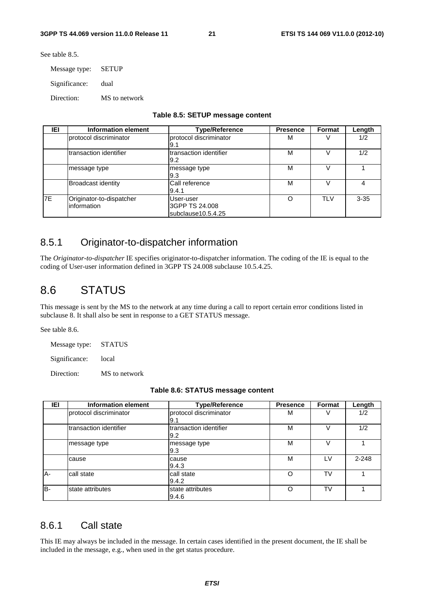See table 8.5.

Message type: SETUP

Significance: dual

Direction: MS to network

|  |  |  | Table 8.5: SETUP message content |  |
|--|--|--|----------------------------------|--|
|--|--|--|----------------------------------|--|

| IEI       | Information element                     | <b>Type/Reference</b>                             | <b>Presence</b> | Format     | Length   |
|-----------|-----------------------------------------|---------------------------------------------------|-----------------|------------|----------|
|           | Iprotocol discriminator                 | protocol discriminator<br>I9.1                    | М               |            | 1/2      |
|           | transaction identifier                  | Itransaction identifier<br>9.2                    | М               |            | 1/2      |
|           | message type                            | message type<br>l9.3                              | М               |            |          |
|           | <b>Broadcast identity</b>               | Call reference<br>9.4.1                           | M               |            | 4        |
| <b>7E</b> | Originator-to-dispatcher<br>information | User-user<br>3GPP TS 24.008<br>subclause10.5.4.25 | Ω               | <b>TLV</b> | $3 - 35$ |

### 8.5.1 Originator-to-dispatcher information

The *Originator-to-dispatcher* IE specifies originator-to-dispatcher information. The coding of the IE is equal to the coding of User-user information defined in 3GPP TS 24.008 subclause 10.5.4.25.

## 8.6 STATUS

This message is sent by the MS to the network at any time during a call to report certain error conditions listed in subclause 8. It shall also be sent in response to a GET STATUS message.

See table 8.6.

Message type: STATUS

Significance: local

Direction: MS to network

| IEI   | Information element    | <b>Type/Reference</b>          | <b>Presence</b> | Format    | Length    |
|-------|------------------------|--------------------------------|-----------------|-----------|-----------|
|       | protocol discriminator | protocol discriminator<br>l9.1 | M               |           | 1/2       |
|       | transaction identifier | transaction identifier<br>9.2  | M               |           | 1/2       |
|       | message type           | message type<br>9.3            | M               |           |           |
|       | cause                  | cause<br>9.4.3                 | M               | I V       | $2 - 248$ |
| $A -$ | call state             | call state<br>9.4.2            | Ω               | <b>TV</b> |           |
| B-    | state attributes       | state attributes<br>9.4.6      | Ω               | TV        |           |

### 8.6.1 Call state

This IE may always be included in the message. In certain cases identified in the present document, the IE shall be included in the message, e.g., when used in the get status procedure.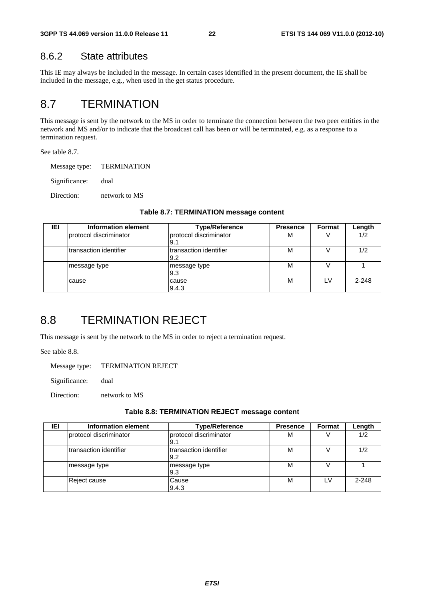### 8.6.2 State attributes

This IE may always be included in the message. In certain cases identified in the present document, the IE shall be included in the message, e.g., when used in the get status procedure.

## 8.7 TERMINATION

This message is sent by the network to the MS in order to terminate the connection between the two peer entities in the network and MS and/or to indicate that the broadcast call has been or will be terminated, e.g. as a response to a termination request.

See table 8.7.

Message type: TERMINATION

Significance: dual

Direction: network to MS

| IEI | <b>Information element</b> | <b>Type/Reference</b>          | <b>Presence</b> | Format | Length  |
|-----|----------------------------|--------------------------------|-----------------|--------|---------|
|     | Iprotocol discriminator    | protocol discriminator<br>I9.1 | М               |        | 1/2     |
|     | Itransaction identifier    | Itransaction identifier<br>9.2 | М               |        | 1/2     |
|     | message type               | message type<br>l9.3           | М               |        |         |
|     | cause                      | cause<br>9.4.3                 | М               |        | $2-248$ |

#### **Table 8.7: TERMINATION message content**

## 8.8 TERMINATION REJECT

This message is sent by the network to the MS in order to reject a termination request.

See table 8.8.

Message type: TERMINATION REJECT

Significance: dual

Direction: network to MS

#### **Table 8.8: TERMINATION REJECT message content**

| IEI | Information element    | <b>Type/Reference</b>           | <b>Presence</b> | Format | Length    |
|-----|------------------------|---------------------------------|-----------------|--------|-----------|
|     | protocol discriminator | Iprotocol discriminator<br>I9.1 | M               |        | 1/2       |
|     | transaction identifier | Itransaction identifier<br>9.2  | М               |        | 1/2       |
|     | message type           | message type<br>l9.3            | М               |        |           |
|     | Reject cause           | Cause<br>9.4.3                  | М               | l V    | $2 - 248$ |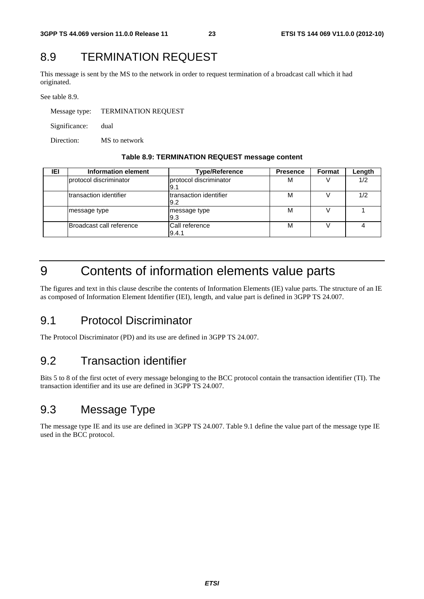## 8.9 TERMINATION REQUEST

This message is sent by the MS to the network in order to request termination of a broadcast call which it had originated.

See table 8.9.

Message type: TERMINATION REQUEST Significance: dual Direction: MS to network

#### **Table 8.9: TERMINATION REQUEST message content**

| IEI | Information element      | <b>Type/Reference</b>          | <b>Presence</b> | Format | Length |
|-----|--------------------------|--------------------------------|-----------------|--------|--------|
|     | Iprotocol discriminator  | protocol discriminator<br>I9.1 | м               |        | 1/2    |
|     | Itransaction identifier  | Itransaction identifier<br>9.2 | M               |        | 1/2    |
|     | message type             | message type<br>19.3           | М               |        |        |
|     | Broadcast call reference | Call reference<br>9.4.1        | М               |        |        |

## 9 Contents of information elements value parts

The figures and text in this clause describe the contents of Information Elements (IE) value parts. The structure of an IE as composed of Information Element Identifier (IEI), length, and value part is defined in 3GPP TS 24.007.

## 9.1 Protocol Discriminator

The Protocol Discriminator (PD) and its use are defined in 3GPP TS 24.007.

## 9.2 Transaction identifier

Bits 5 to 8 of the first octet of every message belonging to the BCC protocol contain the transaction identifier (TI). The transaction identifier and its use are defined in 3GPP TS 24.007.

## 9.3 Message Type

The message type IE and its use are defined in 3GPP TS 24.007. Table 9.1 define the value part of the message type IE used in the BCC protocol.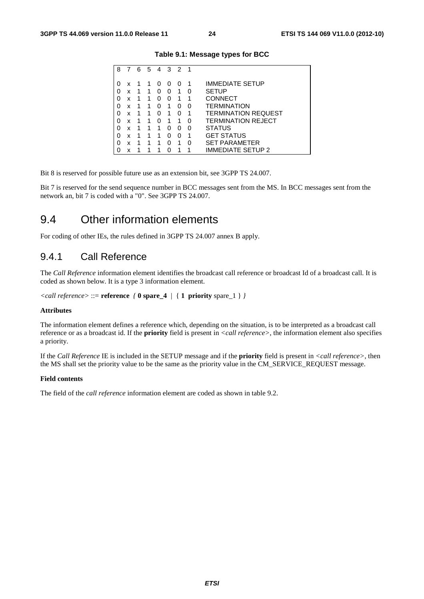| 8 |   | 6 | 5 | 4            | 3        | $\overline{2}$ | - 1 |                            |
|---|---|---|---|--------------|----------|----------------|-----|----------------------------|
|   |   |   |   |              |          |                |     |                            |
| O | x |   |   | $\mathbf{I}$ | $\left($ | $\mathbf{0}$   |     | <b>IMMEDIATE SETUP</b>     |
|   | x | 1 | 1 | U            | 0        | 1              | 0   | <b>SETUP</b>               |
| O | x | 1 | 1 | O            | 0        | 1              | 1   | <b>CONNECT</b>             |
| O | x | 1 | 1 | O            | 1        | O              | 0   | <b>TERMINATION</b>         |
| O | x | 1 | 1 | O            | 1        | O              | 1   | <b>TERMINATION REQUEST</b> |
| O | x | 1 | 1 | ∩            | 1        | 1              | 0   | <b>TERMINATION REJECT</b>  |
| O | x | 1 | 1 | 1            | O        | O              | 0   | <b>STATUS</b>              |
| 0 | x | 1 | 1 | 1            | O        | O              | 1   | <b>GET STATUS</b>          |
| O | x | 1 |   | 1            | O        | 1              | O   | <b>SET PARAMETER</b>       |
|   | x | 1 |   |              |          |                |     | IMMEDIATE SETUP 2          |

**Table 9.1: Message types for BCC** 

Bit 8 is reserved for possible future use as an extension bit, see 3GPP TS 24.007.

Bit 7 is reserved for the send sequence number in BCC messages sent from the MS. In BCC messages sent from the network an, bit 7 is coded with a "0". See 3GPP TS 24.007.

### 9.4 Other information elements

For coding of other IEs, the rules defined in 3GPP TS 24.007 annex B apply.

### 9.4.1 Call Reference

The *Call Reference* information element identifies the broadcast call reference or broadcast Id of a broadcast call. It is coded as shown below. It is a type 3 information element.

```
<call reference> ::= reference { 0 spare_4 | { 1 priority spare_1 } }
```
#### **Attributes**

The information element defines a reference which, depending on the situation, is to be interpreted as a broadcast call reference or as a broadcast id. If the **priority** field is present in *<call reference>*, the information element also specifies a priority.

If the *Call Reference* IE is included in the SETUP message and if the **priority** field is present in *<call reference>*, then the MS shall set the priority value to be the same as the priority value in the CM\_SERVICE\_REQUEST message.

#### **Field contents**

The field of the *call reference* information element are coded as shown in table 9.2.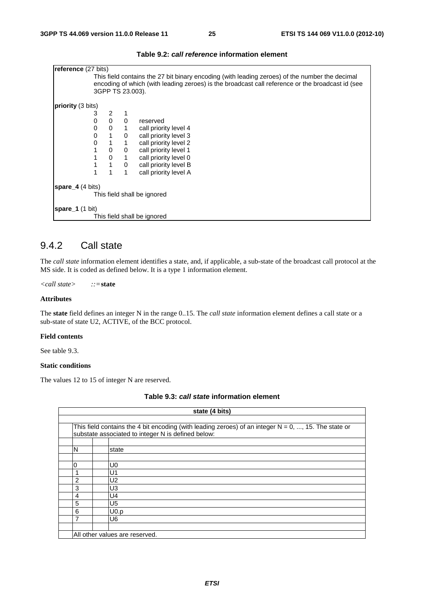| <b>reference</b> (27 bits) |                                                                                                                                                                                                                        |                |              |                             |  |  |  |  |  |
|----------------------------|------------------------------------------------------------------------------------------------------------------------------------------------------------------------------------------------------------------------|----------------|--------------|-----------------------------|--|--|--|--|--|
|                            | This field contains the 27 bit binary encoding (with leading zeroes) of the number the decimal<br>encoding of which (with leading zeroes) is the broadcast call reference or the broadcast id (see<br>3GPP TS 23.003). |                |              |                             |  |  |  |  |  |
| <b>priority</b> (3 bits)   |                                                                                                                                                                                                                        |                |              |                             |  |  |  |  |  |
|                            | 3                                                                                                                                                                                                                      | 2              |              |                             |  |  |  |  |  |
|                            | 0                                                                                                                                                                                                                      | $\mathbf 0$    | 0            | reserved                    |  |  |  |  |  |
|                            | 0                                                                                                                                                                                                                      | 0              | 1            | call priority level 4       |  |  |  |  |  |
|                            | 0                                                                                                                                                                                                                      | $\overline{1}$ | 0            | call priority level 3       |  |  |  |  |  |
|                            | 0                                                                                                                                                                                                                      | $\overline{1}$ | $\mathbf{1}$ | call priority level 2       |  |  |  |  |  |
|                            | 1                                                                                                                                                                                                                      | $\mathbf{0}$   | 0            | call priority level 1       |  |  |  |  |  |
|                            | 1                                                                                                                                                                                                                      | $0 \quad 1$    |              | call priority level 0       |  |  |  |  |  |
|                            | 1                                                                                                                                                                                                                      | $\overline{1}$ | $\mathbf 0$  | call priority level B       |  |  |  |  |  |
|                            | 1                                                                                                                                                                                                                      | 1              |              | call priority level A       |  |  |  |  |  |
| spare $4(4 \text{ bits})$  |                                                                                                                                                                                                                        |                |              |                             |  |  |  |  |  |
|                            |                                                                                                                                                                                                                        |                |              | This field shall be ignored |  |  |  |  |  |
| spare $1(1 \text{ bit})$   |                                                                                                                                                                                                                        |                |              |                             |  |  |  |  |  |
|                            |                                                                                                                                                                                                                        |                |              | This field shall be ignored |  |  |  |  |  |

#### **Table 9.2:** *call reference* **information element**

### 9.4.2 Call state

The *call state* information element identifies a state, and, if applicable, a sub-state of the broadcast call protocol at the MS side. It is coded as defined below. It is a type 1 information element.

*<call state> ::=***state**

#### **Attributes**

The **state** field defines an integer N in the range 0..15. The *call state* information element defines a call state or a sub-state of state U2, ACTIVE, of the BCC protocol.

#### **Field contents**

See table 9.3.

#### **Static conditions**

The values 12 to 15 of integer N are reserved.

| Table 9.3: call state information element |  |
|-------------------------------------------|--|
|-------------------------------------------|--|

|                | state (4 bits)                                                                                                                                                |  |  |  |  |  |  |
|----------------|---------------------------------------------------------------------------------------------------------------------------------------------------------------|--|--|--|--|--|--|
|                |                                                                                                                                                               |  |  |  |  |  |  |
|                | This field contains the 4 bit encoding (with leading zeroes) of an integer $N = 0, , 15$ . The state or<br>substate associated to integer N is defined below: |  |  |  |  |  |  |
|                |                                                                                                                                                               |  |  |  |  |  |  |
| N              | state                                                                                                                                                         |  |  |  |  |  |  |
|                |                                                                                                                                                               |  |  |  |  |  |  |
| 0              | U0                                                                                                                                                            |  |  |  |  |  |  |
|                | U1                                                                                                                                                            |  |  |  |  |  |  |
| $\overline{2}$ | U <sub>2</sub>                                                                                                                                                |  |  |  |  |  |  |
| 3              | U3                                                                                                                                                            |  |  |  |  |  |  |
| 4              | U4                                                                                                                                                            |  |  |  |  |  |  |
| 5              | U <sub>5</sub>                                                                                                                                                |  |  |  |  |  |  |
| 6              | U <sub>0.p</sub>                                                                                                                                              |  |  |  |  |  |  |
| 7              | U <sub>6</sub>                                                                                                                                                |  |  |  |  |  |  |
|                |                                                                                                                                                               |  |  |  |  |  |  |
|                | All other values are reserved.                                                                                                                                |  |  |  |  |  |  |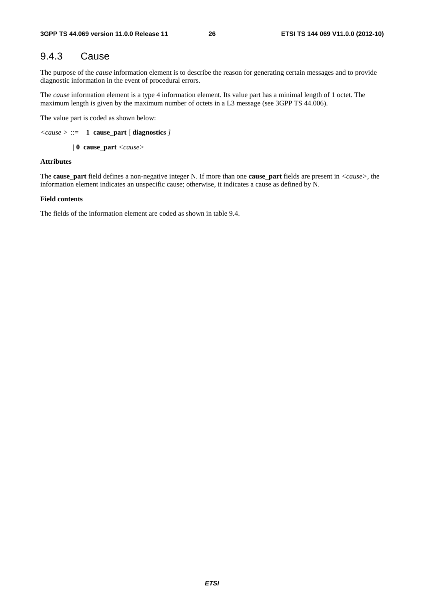### 9.4.3 Cause

The purpose of the *cause* information element is to describe the reason for generating certain messages and to provide diagnostic information in the event of procedural errors.

The *cause* information element is a type 4 information element. Its value part has a minimal length of 1 octet. The maximum length is given by the maximum number of octets in a L3 message (see 3GPP TS 44.006).

The value part is coded as shown below:

```
<cause > ::= 1 cause_part [ diagnostics ]
```
*|* **0 cause\_part** *<cause>* 

#### **Attributes**

The **cause\_part** field defines a non-negative integer N. If more than one **cause\_part** fields are present in *<cause>*, the information element indicates an unspecific cause; otherwise, it indicates a cause as defined by N.

#### **Field contents**

The fields of the information element are coded as shown in table 9.4.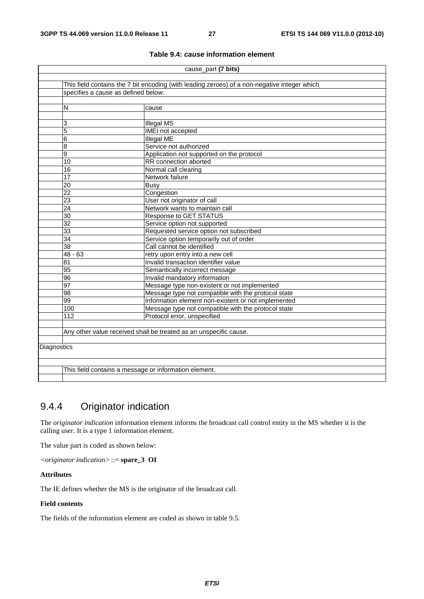| cause_part (7 bits) |                                                                                              |                                                                   |  |  |  |  |  |  |  |  |
|---------------------|----------------------------------------------------------------------------------------------|-------------------------------------------------------------------|--|--|--|--|--|--|--|--|
|                     |                                                                                              |                                                                   |  |  |  |  |  |  |  |  |
|                     | This field contains the 7 bit encoding (with leading zeroes) of a non-negative integer which |                                                                   |  |  |  |  |  |  |  |  |
|                     | specifies a cause as defined below:                                                          |                                                                   |  |  |  |  |  |  |  |  |
|                     |                                                                                              |                                                                   |  |  |  |  |  |  |  |  |
|                     | N<br>cause                                                                                   |                                                                   |  |  |  |  |  |  |  |  |
|                     |                                                                                              |                                                                   |  |  |  |  |  |  |  |  |
|                     | 3                                                                                            | <b>Illegal MS</b>                                                 |  |  |  |  |  |  |  |  |
|                     | 5                                                                                            | IMEI not accepted                                                 |  |  |  |  |  |  |  |  |
|                     | 6                                                                                            | Illegal ME                                                        |  |  |  |  |  |  |  |  |
|                     | 8<br>Service not authorized                                                                  |                                                                   |  |  |  |  |  |  |  |  |
|                     | 9                                                                                            | Application not supported on the protocol                         |  |  |  |  |  |  |  |  |
|                     | $\overline{10}$                                                                              | RR connection aborted                                             |  |  |  |  |  |  |  |  |
|                     | 16                                                                                           | Normal call clearing                                              |  |  |  |  |  |  |  |  |
|                     | 17                                                                                           | Network failure                                                   |  |  |  |  |  |  |  |  |
|                     | $\overline{20}$                                                                              | Busy                                                              |  |  |  |  |  |  |  |  |
|                     | 22                                                                                           | Congestion                                                        |  |  |  |  |  |  |  |  |
|                     | $\overline{23}$<br>User not originator of call                                               |                                                                   |  |  |  |  |  |  |  |  |
|                     | 24<br>Network wants to maintain call                                                         |                                                                   |  |  |  |  |  |  |  |  |
|                     | $\overline{30}$<br><b>Response to GET STATUS</b>                                             |                                                                   |  |  |  |  |  |  |  |  |
|                     | $\overline{32}$                                                                              | Service option not supported                                      |  |  |  |  |  |  |  |  |
|                     | $\overline{33}$                                                                              | Requested service option not subscribed                           |  |  |  |  |  |  |  |  |
|                     | $\overline{34}$<br>Service option temporarily out of order                                   |                                                                   |  |  |  |  |  |  |  |  |
|                     | $\overline{38}$<br>Call cannot be identified                                                 |                                                                   |  |  |  |  |  |  |  |  |
|                     | $48 - 63$                                                                                    | retry upon entry into a new cell                                  |  |  |  |  |  |  |  |  |
|                     | $\overline{81}$                                                                              | Invalid transaction identifier value                              |  |  |  |  |  |  |  |  |
|                     | $\overline{95}$                                                                              | Semantically incorrect message                                    |  |  |  |  |  |  |  |  |
|                     | 96                                                                                           | Invalid mandatory information                                     |  |  |  |  |  |  |  |  |
|                     | $\overline{97}$                                                                              | Message type non-existent or not implemented                      |  |  |  |  |  |  |  |  |
|                     | 98                                                                                           | Message type not compatible with the protocol state               |  |  |  |  |  |  |  |  |
|                     | $\overline{99}$                                                                              | Information element non-existent or not implemented               |  |  |  |  |  |  |  |  |
|                     | 100                                                                                          | Message type not compatible with the protocol state               |  |  |  |  |  |  |  |  |
|                     | 112                                                                                          | Protocol error, unspecified                                       |  |  |  |  |  |  |  |  |
|                     |                                                                                              |                                                                   |  |  |  |  |  |  |  |  |
|                     |                                                                                              | Any other value received shall be treated as an unspecific cause. |  |  |  |  |  |  |  |  |
|                     |                                                                                              |                                                                   |  |  |  |  |  |  |  |  |
|                     | Diagnostics                                                                                  |                                                                   |  |  |  |  |  |  |  |  |
|                     |                                                                                              |                                                                   |  |  |  |  |  |  |  |  |
|                     |                                                                                              |                                                                   |  |  |  |  |  |  |  |  |
|                     | This field contains a message or information element.                                        |                                                                   |  |  |  |  |  |  |  |  |
|                     |                                                                                              |                                                                   |  |  |  |  |  |  |  |  |

#### **Table 9.4:** *cause* **information element**

### 9.4.4 Originator indication

The *originator indication* information element informs the broadcast call control entity in the MS whether it is the calling user. It is a type 1 information element.

The value part is coded as shown below:

*<originator indication>* ::= **spare\_3 OI**

#### **Attributes**

The IE defines whether the MS is the originator of the broadcast call.

#### **Field contents**

The fields of the information element are coded as shown in table 9.5.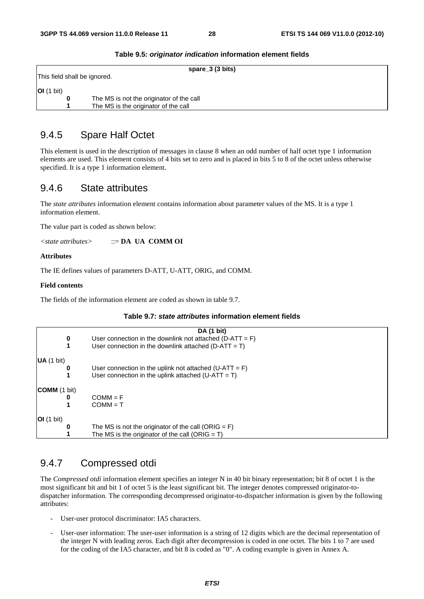|                              | spare_3 (3 bits)                         |  |  |  |  |
|------------------------------|------------------------------------------|--|--|--|--|
| This field shall be ignored. |                                          |  |  |  |  |
| OI(1 bit)                    |                                          |  |  |  |  |
| 0                            | The MS is not the originator of the call |  |  |  |  |
|                              | The MS is the originator of the call     |  |  |  |  |

#### **Table 9.5:** *originator indication* **information element fields**

### 9.4.5 Spare Half Octet

This element is used in the description of messages in clause 8 when an odd number of half octet type 1 information elements are used. This element consists of 4 bits set to zero and is placed in bits 5 to 8 of the octet unless otherwise specified. It is a type 1 information element.

#### 9.4.6 State attributes

The *state attributes* information element contains information about parameter values of the MS. It is a type 1 information element.

The value part is coded as shown below:

*<state attributes>* ::= **DA UA COMM OI**

**Attributes** 

The IE defines values of parameters D-ATT, U-ATT, ORIG, and COMM.

#### **Field contents**

The fields of the information element are coded as shown in table 9.7.

#### **Table 9.7:** *state attributes* **information element fields**

|                     |   | DA (1 bit)                                                 |
|---------------------|---|------------------------------------------------------------|
|                     | 0 | User connection in the downlink not attached $(D-ATT = F)$ |
|                     | 1 | User connection in the downlink attached $(D-ATT = T)$     |
| UA (1 bit)          |   |                                                            |
|                     | 0 | User connection in the uplink not attached $(U-ATT = F)$   |
|                     |   | User connection in the uplink attached $(U-ATT = T)$       |
| <b>COMM</b> (1 bit) |   |                                                            |
|                     | 0 | $COMM = F$                                                 |
|                     |   | $COMM = T$                                                 |
| OI(1 bit)           |   |                                                            |
|                     | o | The MS is not the originator of the call (ORIG = $F$ )     |
|                     |   | The MS is the originator of the call (ORIG = $T$ )         |

### 9.4.7 Compressed otdi

The *Compressed otdi* information element specifies an integer N in 40 bit binary representation; bit 8 of octet 1 is the most significant bit and bit 1 of octet 5 is the least significant bit. The integer denotes compressed originator-todispatcher information. The corresponding decompressed originator-to-dispatcher information is given by the following attributes:

- User-user protocol discriminator: IA5 characters.
- User-user information: The user-user information is a string of 12 digits which are the decimal representation of the integer N with leading zeros. Each digit after decompression is coded in one octet. The bits 1 to 7 are used for the coding of the IA5 character, and bit 8 is coded as "0". A coding example is given in Annex A.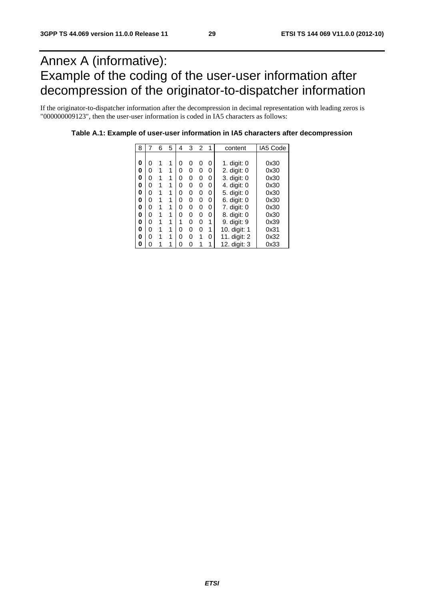## Annex A (informative): Example of the coding of the user-user information after decompression of the originator-to-dispatcher information

If the originator-to-dispatcher information after the decompression in decimal representation with leading zeros is "000000009123", then the user-user information is coded in IA5 characters as follows:

| 8 |   | 6 | 5 | 4 | 3 | $\overline{2}$ | 1 | content      | IA5 Code |
|---|---|---|---|---|---|----------------|---|--------------|----------|
|   |   |   |   |   |   |                |   |              |          |
| 0 | 0 |   | 1 | 0 | 0 | 0              | 0 | 1. digit: 0  | 0x30     |
| 0 | 0 | 1 | 1 | O | 0 | ი              | 0 | 2. digit: 0  | 0x30     |
| 0 | 0 | 1 | 1 | ი | 0 | 0              | 0 | 3. digit: 0  | 0x30     |
| 0 | 0 |   | 1 | 0 | 0 | 0              | 0 | 4. digit: 0  | 0x30     |
| 0 | 0 | 1 | 1 | ი | 0 | O              | 0 | 5. digit: 0  | 0x30     |
| 0 | 0 | 1 | 1 | ი | 0 | O              | 0 | 6. digit: 0  | 0x30     |
| 0 | 0 |   | 1 | ი | 0 | 0              | 0 | 7. digit: 0  | 0x30     |
| 0 | 0 | 1 | 1 | ი | 0 | O              | 0 | 8. digit: 0  | 0x30     |
| 0 | 0 | 1 | 1 |   | 0 | O              | 1 | 9. digit: 9  | 0x39     |
| 0 | 0 | 1 | 1 | 0 | 0 | 0              | 1 | 10. digit: 1 | 0x31     |
| 0 | 0 | 1 | 1 | ი | O | 1              | 0 | 11. digit: 2 | 0x32     |
| 0 | ი |   |   | ი | ი |                |   | 12. digit: 3 | 0x33     |

**Table A.1: Example of user-user information in IA5 characters after decompression**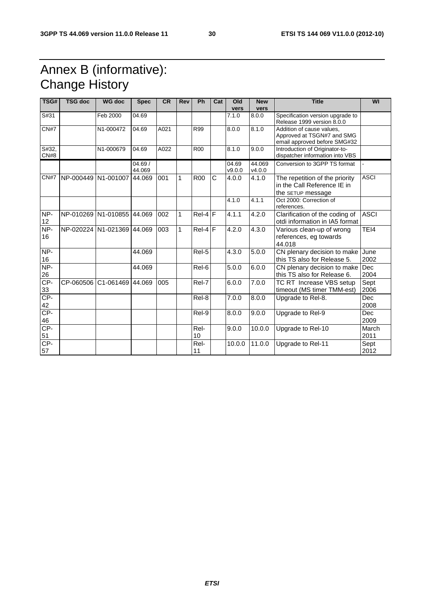## Annex B (informative): Change History

| TSG#          | <b>TSG doc</b>      | <b>WG doc</b>              | <b>Spec</b>       | <b>CR</b> | <b>Rev</b>   | <b>Ph</b>  | Cat | Old<br>vers     | <b>New</b><br>vers | <b>Title</b>                                                                            | WI                 |
|---------------|---------------------|----------------------------|-------------------|-----------|--------------|------------|-----|-----------------|--------------------|-----------------------------------------------------------------------------------------|--------------------|
| S#31          |                     | Feb 2000                   | 04.69             |           |              |            |     | 7.1.0           | 8.0.0              | Specification version upgrade to<br>Release 1999 version 8.0.0                          |                    |
| CN#7          |                     | N1-000472                  | 04.69             | A021      |              | R99        |     | 8.0.0           | 8.1.0              | Addition of cause values.<br>Approved at TSGN#7 and SMG<br>email approved before SMG#32 |                    |
| S#32,<br>CN#8 |                     | N1-000679                  | 04.69             | A022      |              | <b>R00</b> |     | 8.1.0           | 9.0.0              | Introduction of Originator-to-<br>dispatcher information into VBS                       |                    |
|               |                     |                            | 04.69 /<br>44.069 |           |              |            |     | 04.69<br>v9.0.0 | 44.069<br>v4.0.0   | Conversion to 3GPP TS format                                                            |                    |
| CN#7          | NP-000449 N1-001007 |                            | 44.069            | 001       | $\mathbf{1}$ | <b>R00</b> | С   | 4.0.0           | 4.1.0              | The repetition of the priority<br>in the Call Reference IE in<br>the SETUP message      | <b>ASCI</b>        |
|               |                     |                            |                   |           |              |            |     | 4.1.0           | 4.1.1              | Oct 2000: Correction of<br>references.                                                  |                    |
| NP-<br>12     |                     | NP-010269 N1-010855 44.069 |                   | 002       | $\mathbf{1}$ | $Rel-4$ F  |     | 4.1.1           | 4.2.0              | Clarification of the coding of<br>otdi information in IA5 format                        | <b>ASCI</b>        |
| NP-<br>16     |                     | NP-020224 N1-021369 44.069 |                   | 003       | $\mathbf{1}$ | $Rel-4 F$  |     | 4.2.0           | 4.3.0              | Various clean-up of wrong<br>references, eg towards<br>44.018                           | TEI4               |
| NP-<br>16     |                     |                            | 44.069            |           |              | Rel-5      |     | 4.3.0           | 5.0.0              | CN plenary decision to make<br>this TS also for Release 5.                              | June<br>2002       |
| NP-<br>26     |                     |                            | 44.069            |           |              | Rel-6      |     | 5.0.0           | 6.0.0              | CN plenary decision to make<br>this TS also for Release 6.                              | Dec<br>2004        |
| CP-<br>33     |                     | CP-060506 C1-061469 44.069 |                   | 005       |              | Rel-7      |     | 6.0.0           | $\overline{7}.0.0$ | TC RT Increase VBS setup<br>timeout (MS timer TMM-est)                                  | Sept<br>2006       |
| $CP-$<br>42   |                     |                            |                   |           |              | Rel-8      |     | 7.0.0           | 8.0.0              | Upgrade to Rel-8.                                                                       | <b>Dec</b><br>2008 |
| $CP-$<br>46   |                     |                            |                   |           |              | Rel-9      |     | 8.0.0           | 9.0.0              | Upgrade to Rel-9                                                                        | <b>Dec</b><br>2009 |
| $CP-$<br>51   |                     |                            |                   |           |              | Rel-<br>10 |     | 9.0.0           | 10.0.0             | Upgrade to Rel-10                                                                       | March<br>2011      |
| $CP-$<br>57   |                     |                            |                   |           |              | Rel-<br>11 |     | 10.0.0          | 11.0.0             | Upgrade to Rel-11                                                                       | Sept<br>2012       |